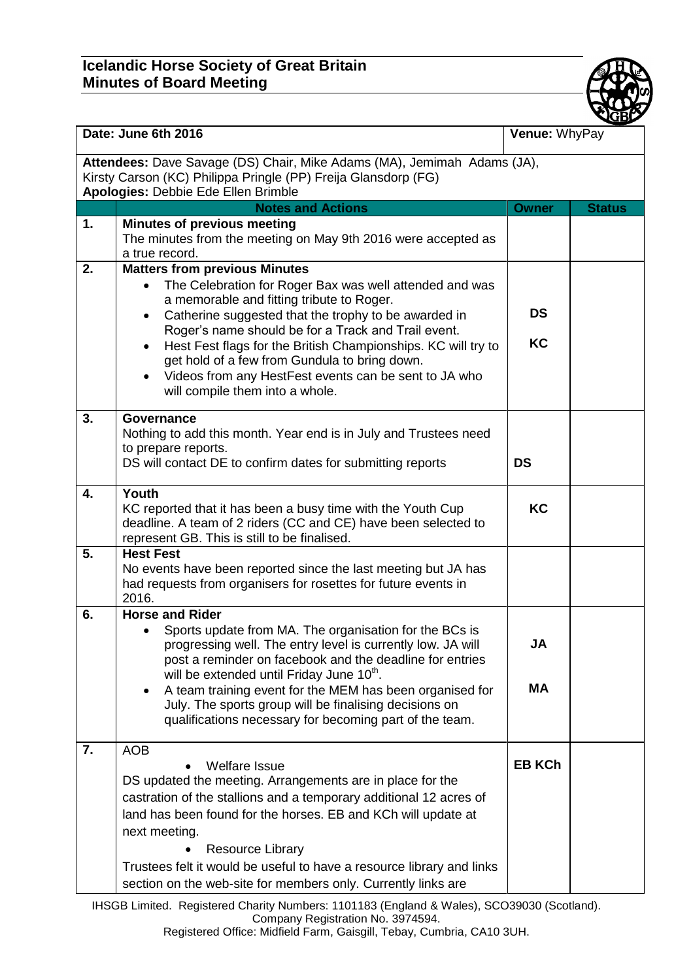## **Icelandic Horse Society of Great Britain Minutes of Board Meeting**



| Date: June 6th 2016                                                                                                                                                              |                                                                                                                                                                                                                                                                                                                                                                                                                                                                                                                  | Venue: WhyPay          |               |  |
|----------------------------------------------------------------------------------------------------------------------------------------------------------------------------------|------------------------------------------------------------------------------------------------------------------------------------------------------------------------------------------------------------------------------------------------------------------------------------------------------------------------------------------------------------------------------------------------------------------------------------------------------------------------------------------------------------------|------------------------|---------------|--|
| Attendees: Dave Savage (DS) Chair, Mike Adams (MA), Jemimah Adams (JA),<br>Kirsty Carson (KC) Philippa Pringle (PP) Freija Glansdorp (FG)<br>Apologies: Debbie Ede Ellen Brimble |                                                                                                                                                                                                                                                                                                                                                                                                                                                                                                                  |                        |               |  |
|                                                                                                                                                                                  | <b>Notes and Actions</b>                                                                                                                                                                                                                                                                                                                                                                                                                                                                                         | <b>Owner</b>           | <b>Status</b> |  |
| 1.                                                                                                                                                                               | <b>Minutes of previous meeting</b><br>The minutes from the meeting on May 9th 2016 were accepted as<br>a true record.                                                                                                                                                                                                                                                                                                                                                                                            |                        |               |  |
| 2.                                                                                                                                                                               | <b>Matters from previous Minutes</b><br>The Celebration for Roger Bax was well attended and was<br>$\bullet$<br>a memorable and fitting tribute to Roger.<br>Catherine suggested that the trophy to be awarded in<br>$\bullet$<br>Roger's name should be for a Track and Trail event.<br>Hest Fest flags for the British Championships. KC will try to<br>get hold of a few from Gundula to bring down.<br>Videos from any HestFest events can be sent to JA who<br>$\bullet$<br>will compile them into a whole. | <b>DS</b><br><b>KC</b> |               |  |
| 3.                                                                                                                                                                               | Governance<br>Nothing to add this month. Year end is in July and Trustees need<br>to prepare reports.<br>DS will contact DE to confirm dates for submitting reports                                                                                                                                                                                                                                                                                                                                              | <b>DS</b>              |               |  |
| 4.                                                                                                                                                                               | Youth<br>KC reported that it has been a busy time with the Youth Cup<br>deadline. A team of 2 riders (CC and CE) have been selected to<br>represent GB. This is still to be finalised.                                                                                                                                                                                                                                                                                                                           | <b>KC</b>              |               |  |
| 5.                                                                                                                                                                               | <b>Hest Fest</b><br>No events have been reported since the last meeting but JA has<br>had requests from organisers for rosettes for future events in<br>2016.                                                                                                                                                                                                                                                                                                                                                    |                        |               |  |
| 6.                                                                                                                                                                               | <b>Horse and Rider</b><br>Sports update from MA. The organisation for the BCs is<br>$\bullet$<br>progressing well. The entry level is currently low. JA will<br>post a reminder on facebook and the deadline for entries<br>will be extended until Friday June 10 <sup>th</sup> .<br>A team training event for the MEM has been organised for<br>$\bullet$<br>July. The sports group will be finalising decisions on<br>qualifications necessary for becoming part of the team.                                  | JA<br><b>MA</b>        |               |  |
| 7.                                                                                                                                                                               | <b>AOB</b><br><b>Welfare Issue</b><br>DS updated the meeting. Arrangements are in place for the<br>castration of the stallions and a temporary additional 12 acres of<br>land has been found for the horses. EB and KCh will update at<br>next meeting.<br><b>Resource Library</b><br>Trustees felt it would be useful to have a resource library and links<br>section on the web-site for members only. Currently links are                                                                                     | <b>EB KCh</b>          |               |  |

IHSGB Limited. Registered Charity Numbers: 1101183 (England & Wales), SCO39030 (Scotland). Company Registration No. 3974594.

Registered Office: Midfield Farm, Gaisgill, Tebay, Cumbria, CA10 3UH.